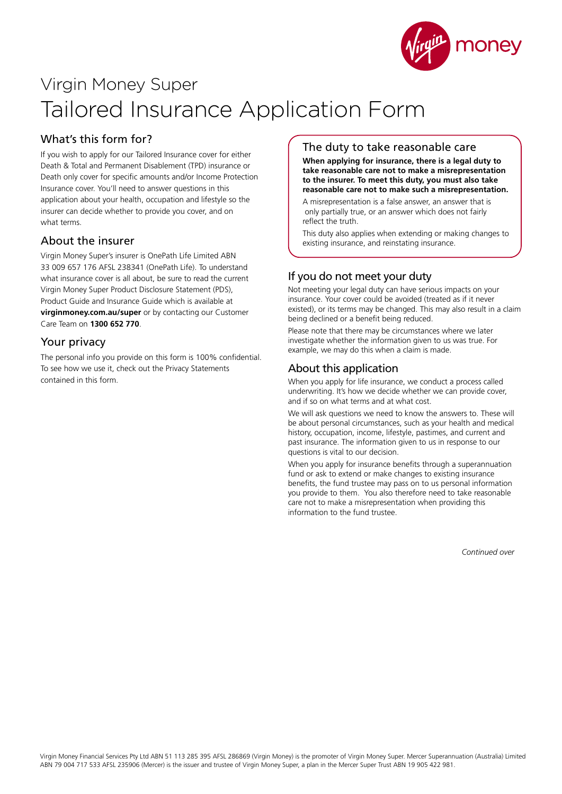

# Virgin Money Super Tailored Insurance Application Form

# What's this form for?

If you wish to apply for our Tailored Insurance cover for either Death & Total and Permanent Disablement (TPD) insurance or Death only cover for specific amounts and/or Income Protection Insurance cover. You'll need to answer questions in this application about your health, occupation and lifestyle so the insurer can decide whether to provide you cover, and on what terms.

# About the insurer

Virgin Money Super's insurer is OnePath Life Limited ABN 33 009 657 176 AFSL 238341 (OnePath Life). To understand what insurance cover is all about, be sure to read the current Virgin Money Super Product Disclosure Statement (PDS), Product Guide and Insurance Guide which is available at **virginmoney.com.au/super** or by contacting our Customer Care Team on **1300 652 770**.

## Your privacy

The personal info you provide on this form is 100% confidential. To see how we use it, check out the Privacy Statements contained in this form.

## The duty to take reasonable care

**When applying for insurance, there is a legal duty to take reasonable care not to make a misrepresentation to the insurer. To meet this duty, you must also take reasonable care not to make such a misrepresentation.**

A misrepresentation is a false answer, an answer that is only partially true, or an answer which does not fairly reflect the truth.

This duty also applies when extending or making changes to existing insurance, and reinstating insurance.

# If you do not meet your duty

Not meeting your legal duty can have serious impacts on your insurance. Your cover could be avoided (treated as if it never existed), or its terms may be changed. This may also result in a claim being declined or a benefit being reduced.

Please note that there may be circumstances where we later investigate whether the information given to us was true. For example, we may do this when a claim is made.

## About this application

When you apply for life insurance, we conduct a process called underwriting. It's how we decide whether we can provide cover, and if so on what terms and at what cost.

We will ask questions we need to know the answers to. These will be about personal circumstances, such as your health and medical history, occupation, income, lifestyle, pastimes, and current and past insurance. The information given to us in response to our questions is vital to our decision.

When you apply for insurance benefits through a superannuation fund or ask to extend or make changes to existing insurance benefits, the fund trustee may pass on to us personal information you provide to them. You also therefore need to take reasonable care not to make a misrepresentation when providing this information to the fund trustee.

*Continued over*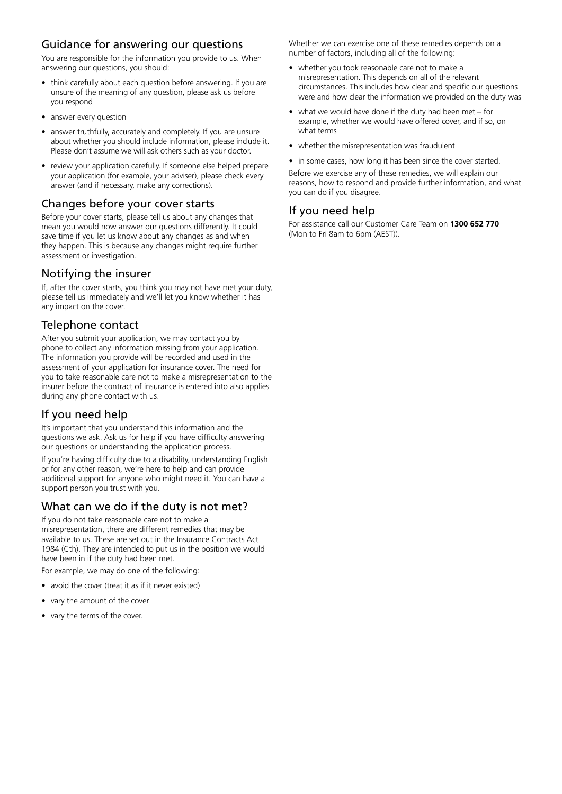## Guidance for answering our questions

You are responsible for the information you provide to us. When answering our questions, you should:

- think carefully about each question before answering. If you are unsure of the meaning of any question, please ask us before you respond
- answer every question
- answer truthfully, accurately and completely. If you are unsure about whether you should include information, please include it. Please don't assume we will ask others such as your doctor.
- review your application carefully. If someone else helped prepare your application (for example, your adviser), please check every answer (and if necessary, make any corrections).

## Changes before your cover starts

Before your cover starts, please tell us about any changes that mean you would now answer our questions differently. It could save time if you let us know about any changes as and when they happen. This is because any changes might require further assessment or investigation.

## Notifying the insurer

If, after the cover starts, you think you may not have met your duty, please tell us immediately and we'll let you know whether it has any impact on the cover.

# Telephone contact

After you submit your application, we may contact you by phone to collect any information missing from your application. The information you provide will be recorded and used in the assessment of your application for insurance cover. The need for you to take reasonable care not to make a misrepresentation to the insurer before the contract of insurance is entered into also applies during any phone contact with us.

## If you need help

It's important that you understand this information and the questions we ask. Ask us for help if you have difficulty answering our questions or understanding the application process.

If you're having difficulty due to a disability, understanding English or for any other reason, we're here to help and can provide additional support for anyone who might need it. You can have a support person you trust with you.

# What can we do if the duty is not met?

If you do not take reasonable care not to make a misrepresentation, there are different remedies that may be available to us. These are set out in the Insurance Contracts Act 1984 (Cth). They are intended to put us in the position we would have been in if the duty had been met.

For example, we may do one of the following:

- avoid the cover (treat it as if it never existed)
- vary the amount of the cover
- vary the terms of the cover.

Whether we can exercise one of these remedies depends on a number of factors, including all of the following:

- whether you took reasonable care not to make a misrepresentation. This depends on all of the relevant circumstances. This includes how clear and specific our questions were and how clear the information we provided on the duty was
- what we would have done if the duty had been met for example, whether we would have offered cover, and if so, on what terms
- whether the misrepresentation was fraudulent
- in some cases, how long it has been since the cover started. Before we exercise any of these remedies, we will explain our reasons, how to respond and provide further information, and what you can do if you disagree.

# If you need help

For assistance call our Customer Care Team on **1300 652 770** (Mon to Fri 8am to 6pm (AEST)).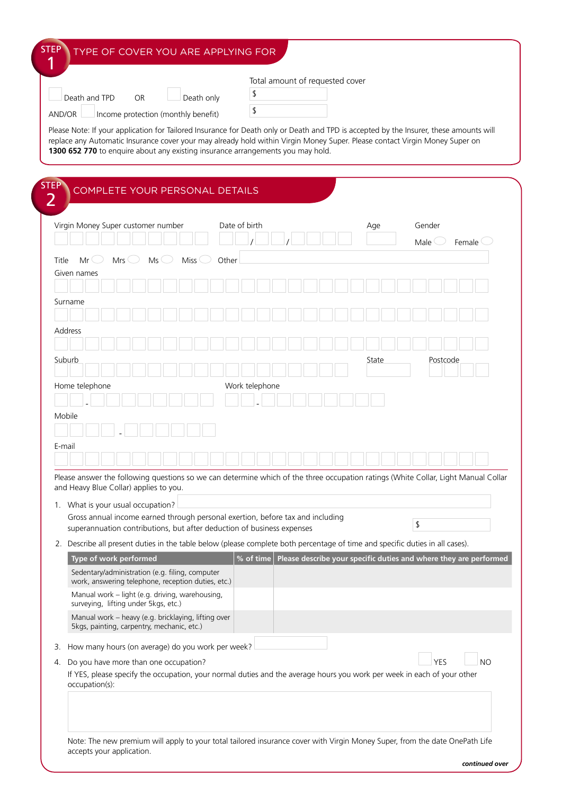|        |                                                                                                                                                                                                                                                                                                                                                                                                                                                                                                                |                                                                                                       |     |           |    |                 |               |           |                | Total amount of requested cover |  |  |     |       |    |                                                                   |          |                     |  |
|--------|----------------------------------------------------------------------------------------------------------------------------------------------------------------------------------------------------------------------------------------------------------------------------------------------------------------------------------------------------------------------------------------------------------------------------------------------------------------------------------------------------------------|-------------------------------------------------------------------------------------------------------|-----|-----------|----|-----------------|---------------|-----------|----------------|---------------------------------|--|--|-----|-------|----|-------------------------------------------------------------------|----------|---------------------|--|
|        | Death and TPD                                                                                                                                                                                                                                                                                                                                                                                                                                                                                                  |                                                                                                       |     | <b>OR</b> |    | Death only      |               | \$        |                |                                 |  |  |     |       |    |                                                                   |          |                     |  |
|        | AND/OR                                                                                                                                                                                                                                                                                                                                                                                                                                                                                                         | Income protection (monthly benefit)                                                                   |     |           |    |                 |               | \$        |                |                                 |  |  |     |       |    |                                                                   |          |                     |  |
|        | Please Note: If your application for Tailored Insurance for Death only or Death and TPD is accepted by the Insurer, these amounts will                                                                                                                                                                                                                                                                                                                                                                         |                                                                                                       |     |           |    |                 |               |           |                |                                 |  |  |     |       |    |                                                                   |          |                     |  |
| STEP   | replace any Automatic Insurance cover your may already hold within Virgin Money Super. Please contact Virgin Money Super on<br>1300 652 770 to enquire about any existing insurance arrangements you may hold.                                                                                                                                                                                                                                                                                                 | COMPLETE YOUR PERSONAL DETAILS                                                                        |     |           |    |                 |               |           |                |                                 |  |  |     |       |    |                                                                   |          |                     |  |
| 2      |                                                                                                                                                                                                                                                                                                                                                                                                                                                                                                                |                                                                                                       |     |           |    |                 |               |           |                |                                 |  |  |     |       |    |                                                                   |          |                     |  |
|        | Virgin Money Super customer number                                                                                                                                                                                                                                                                                                                                                                                                                                                                             |                                                                                                       |     |           |    |                 | Date of birth |           |                |                                 |  |  | Age |       |    | Gender                                                            |          |                     |  |
|        |                                                                                                                                                                                                                                                                                                                                                                                                                                                                                                                |                                                                                                       |     |           |    |                 |               |           |                |                                 |  |  |     |       |    | Male                                                              |          | Female <sup>(</sup> |  |
| Title  | $Mr \cup$                                                                                                                                                                                                                                                                                                                                                                                                                                                                                                      |                                                                                                       | Mrs |           | Ms | Miss $\bigcirc$ | Other         |           |                |                                 |  |  |     |       |    |                                                                   |          |                     |  |
|        | Given names                                                                                                                                                                                                                                                                                                                                                                                                                                                                                                    |                                                                                                       |     |           |    |                 |               |           |                |                                 |  |  |     |       |    |                                                                   |          |                     |  |
|        |                                                                                                                                                                                                                                                                                                                                                                                                                                                                                                                |                                                                                                       |     |           |    |                 |               |           |                |                                 |  |  |     |       |    |                                                                   |          |                     |  |
|        | Surname                                                                                                                                                                                                                                                                                                                                                                                                                                                                                                        |                                                                                                       |     |           |    |                 |               |           |                |                                 |  |  |     |       |    |                                                                   |          |                     |  |
|        |                                                                                                                                                                                                                                                                                                                                                                                                                                                                                                                |                                                                                                       |     |           |    |                 |               |           |                |                                 |  |  |     |       |    |                                                                   |          |                     |  |
|        | <b>Address</b>                                                                                                                                                                                                                                                                                                                                                                                                                                                                                                 |                                                                                                       |     |           |    |                 |               |           |                |                                 |  |  |     |       |    |                                                                   |          |                     |  |
|        |                                                                                                                                                                                                                                                                                                                                                                                                                                                                                                                |                                                                                                       |     |           |    |                 |               |           |                |                                 |  |  |     |       |    |                                                                   |          |                     |  |
|        | Suburb                                                                                                                                                                                                                                                                                                                                                                                                                                                                                                         |                                                                                                       |     |           |    |                 |               |           |                |                                 |  |  |     | State |    |                                                                   | Postcode |                     |  |
|        |                                                                                                                                                                                                                                                                                                                                                                                                                                                                                                                |                                                                                                       |     |           |    |                 |               |           |                |                                 |  |  |     |       |    |                                                                   |          |                     |  |
|        | Home telephone                                                                                                                                                                                                                                                                                                                                                                                                                                                                                                 |                                                                                                       |     |           |    |                 |               |           | Work telephone |                                 |  |  |     |       |    |                                                                   |          |                     |  |
| E-mail | Mobile                                                                                                                                                                                                                                                                                                                                                                                                                                                                                                         |                                                                                                       |     |           |    |                 |               |           |                |                                 |  |  |     |       |    |                                                                   |          |                     |  |
|        |                                                                                                                                                                                                                                                                                                                                                                                                                                                                                                                |                                                                                                       |     |           |    |                 |               |           |                |                                 |  |  |     |       |    |                                                                   |          |                     |  |
|        | Please answer the following questions so we can determine which of the three occupation ratings (White Collar, Light Manual Collar<br>and Heavy Blue Collar) applies to you.<br>1. What is your usual occupation?<br>Gross annual income earned through personal exertion, before tax and including<br>superannuation contributions, but after deduction of business expenses<br>2. Describe all present duties in the table below (please complete both percentage of time and specific duties in all cases). |                                                                                                       |     |           |    |                 |               |           |                |                                 |  |  |     |       | \$ |                                                                   |          |                     |  |
|        |                                                                                                                                                                                                                                                                                                                                                                                                                                                                                                                | Type of work performed                                                                                |     |           |    |                 |               | % of time |                |                                 |  |  |     |       |    | Please describe your specific duties and where they are performed |          |                     |  |
|        |                                                                                                                                                                                                                                                                                                                                                                                                                                                                                                                | Sedentary/administration (e.g. filing, computer<br>work, answering telephone, reception duties, etc.) |     |           |    |                 |               |           |                |                                 |  |  |     |       |    |                                                                   |          |                     |  |
|        |                                                                                                                                                                                                                                                                                                                                                                                                                                                                                                                | Manual work - light (e.g. driving, warehousing,<br>surveying, lifting under 5kgs, etc.)               |     |           |    |                 |               |           |                |                                 |  |  |     |       |    |                                                                   |          |                     |  |
|        |                                                                                                                                                                                                                                                                                                                                                                                                                                                                                                                | Manual work - heavy (e.g. bricklaying, lifting over<br>5kgs, painting, carpentry, mechanic, etc.)     |     |           |    |                 |               |           |                |                                 |  |  |     |       |    |                                                                   |          |                     |  |
| 3.     | How many hours (on average) do you work per week?                                                                                                                                                                                                                                                                                                                                                                                                                                                              |                                                                                                       |     |           |    |                 |               |           |                |                                 |  |  |     |       |    |                                                                   |          |                     |  |

accepts your application.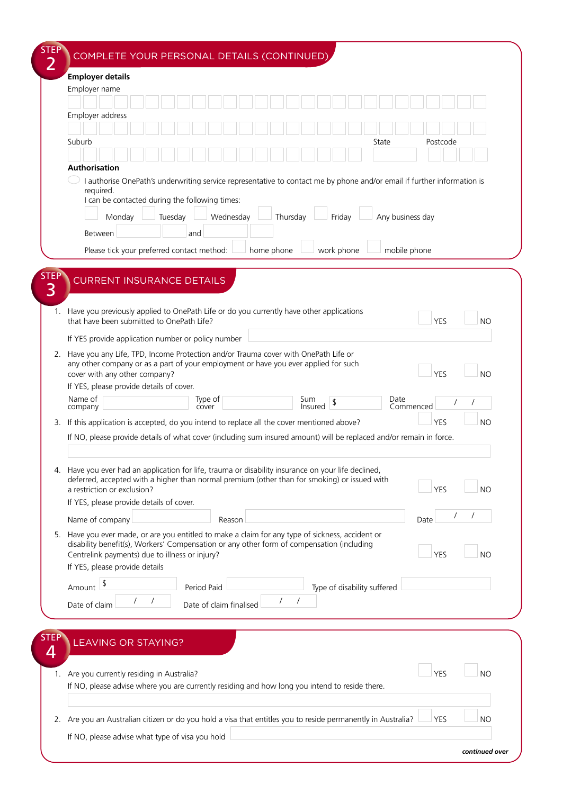|      | <b>Employer details</b>                                                                                                                                                                                                                                                           |                         |            |          |                |            |                             |       |      |                  |            |                |
|------|-----------------------------------------------------------------------------------------------------------------------------------------------------------------------------------------------------------------------------------------------------------------------------------|-------------------------|------------|----------|----------------|------------|-----------------------------|-------|------|------------------|------------|----------------|
|      | Employer name                                                                                                                                                                                                                                                                     |                         |            |          |                |            |                             |       |      |                  |            |                |
|      |                                                                                                                                                                                                                                                                                   |                         |            |          |                |            |                             |       |      |                  |            |                |
|      | Employer address                                                                                                                                                                                                                                                                  |                         |            |          |                |            |                             |       |      |                  |            |                |
|      | Suburb                                                                                                                                                                                                                                                                            |                         |            |          |                |            |                             | State |      |                  | Postcode   |                |
|      |                                                                                                                                                                                                                                                                                   |                         |            |          |                |            |                             |       |      |                  |            |                |
|      | <b>Authorisation</b>                                                                                                                                                                                                                                                              |                         |            |          |                |            |                             |       |      |                  |            |                |
|      | I authorise OnePath's underwriting service representative to contact me by phone and/or email if further information is<br>required.<br>I can be contacted during the following times:<br>Tuesday<br>Monday                                                                       | Wednesday               |            | Thursday |                | Friday     |                             |       |      | Any business day |            |                |
|      | and<br>Between                                                                                                                                                                                                                                                                    |                         |            |          |                |            |                             |       |      |                  |            |                |
|      | Please tick your preferred contact method:                                                                                                                                                                                                                                        |                         | home phone |          |                | work phone |                             |       |      | mobile phone     |            |                |
|      |                                                                                                                                                                                                                                                                                   |                         |            |          |                |            |                             |       |      |                  |            |                |
| STEP | <b>CURRENT INSURANCE DETAILS</b>                                                                                                                                                                                                                                                  |                         |            |          |                |            |                             |       |      |                  |            |                |
|      | 1. Have you previously applied to OnePath Life or do you currently have other applications<br>that have been submitted to OnePath Life?<br>If YES provide application number or policy number                                                                                     |                         |            |          |                |            |                             |       |      |                  | <b>YES</b> | N()            |
|      |                                                                                                                                                                                                                                                                                   |                         |            |          |                |            |                             |       |      |                  |            |                |
|      | 2. Have you any Life, TPD, Income Protection and/or Trauma cover with OnePath Life or<br>any other company or as a part of your employment or have you ever applied for such<br>cover with any other company?<br>If YES, please provide details of cover.                         |                         |            |          |                |            |                             |       |      |                  | <b>YES</b> | <b>NO</b>      |
|      | Name of                                                                                                                                                                                                                                                                           | Type of                 |            |          | Sum<br>Insured | \$         |                             |       | Date | Commenced        |            |                |
|      | company                                                                                                                                                                                                                                                                           | cover                   |            |          |                |            |                             |       |      |                  |            |                |
|      | 3. If this application is accepted, do you intend to replace all the cover mentioned above?                                                                                                                                                                                       |                         |            |          |                |            |                             |       |      |                  | <b>YES</b> | <b>NO</b>      |
|      |                                                                                                                                                                                                                                                                                   |                         |            |          |                |            |                             |       |      |                  |            |                |
|      | If NO, please provide details of what cover (including sum insured amount) will be replaced and/or remain in force.                                                                                                                                                               |                         |            |          |                |            |                             |       |      |                  |            |                |
|      | 4. Have you ever had an application for life, trauma or disability insurance on your life declined,<br>deferred, accepted with a higher than normal premium (other than for smoking) or issued with<br>a restriction or exclusion?                                                |                         |            |          |                |            |                             |       |      |                  | YES        | N <sub>O</sub> |
|      | If YES, please provide details of cover.                                                                                                                                                                                                                                          |                         |            |          |                |            |                             |       |      |                  |            |                |
|      | Name of company                                                                                                                                                                                                                                                                   | Reason                  |            |          |                |            |                             |       |      | Date             |            |                |
|      | 5. Have you ever made, or are you entitled to make a claim for any type of sickness, accident or<br>disability benefit(s), Workers' Compensation or any other form of compensation (including<br>Centrelink payments) due to illness or injury?<br>If YES, please provide details |                         |            |          |                |            |                             |       |      |                  | <b>YES</b> | <b>NO</b>      |
|      | \$<br>Amount                                                                                                                                                                                                                                                                      | Period Paid             |            |          |                |            | Type of disability suffered |       |      |                  |            |                |
|      |                                                                                                                                                                                                                                                                                   |                         |            |          |                |            |                             |       |      |                  |            |                |
|      | Date of claim                                                                                                                                                                                                                                                                     | Date of claim finalised |            |          |                |            |                             |       |      |                  |            |                |
|      |                                                                                                                                                                                                                                                                                   |                         |            |          |                |            |                             |       |      |                  |            |                |
| STEP | <b>LEAVING OR STAYING?</b>                                                                                                                                                                                                                                                        |                         |            |          |                |            |                             |       |      |                  |            |                |
|      |                                                                                                                                                                                                                                                                                   |                         |            |          |                |            |                             |       |      |                  |            |                |
|      | 1. Are you currently residing in Australia?<br>If NO, please advise where you are currently residing and how long you intend to reside there.                                                                                                                                     |                         |            |          |                |            |                             |       |      |                  | <b>YES</b> | <b>NO</b>      |
|      | 2. Are you an Australian citizen or do you hold a visa that entitles you to reside permanently in Australia?                                                                                                                                                                      |                         |            |          |                |            |                             |       |      |                  | <b>YES</b> | NO             |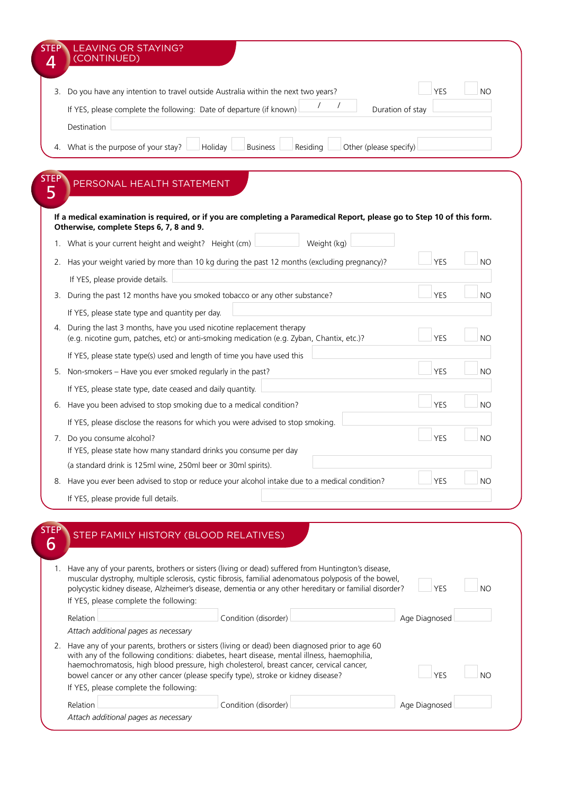|      | 3. Do you have any intention to travel outside Australia within the next two years?                                                                                                                             | <b>YES</b>    | <b>NO</b> |
|------|-----------------------------------------------------------------------------------------------------------------------------------------------------------------------------------------------------------------|---------------|-----------|
|      | If YES, please complete the following: Date of departure (if known)<br>Duration of stay                                                                                                                         |               |           |
|      | Destination                                                                                                                                                                                                     |               |           |
|      | 4. What is the purpose of your stay?<br>Residing<br>Other (please specify)<br>Holiday<br><b>Business</b>                                                                                                        |               |           |
|      |                                                                                                                                                                                                                 |               |           |
| STEP | PERSONAL HEALTH STATEMENT                                                                                                                                                                                       |               |           |
| 5    |                                                                                                                                                                                                                 |               |           |
|      | If a medical examination is required, or if you are completing a Paramedical Report, please go to Step 10 of this form.                                                                                         |               |           |
|      | Otherwise, complete Steps 6, 7, 8 and 9.                                                                                                                                                                        |               |           |
|      | Weight (kg)<br>1. What is your current height and weight? Height (cm)                                                                                                                                           |               |           |
|      | 2. Has your weight varied by more than 10 kg during the past 12 months (excluding pregnancy)?                                                                                                                   | <b>YES</b>    | <b>NO</b> |
|      | If YES, please provide details.                                                                                                                                                                                 |               |           |
|      | 3. During the past 12 months have you smoked tobacco or any other substance?                                                                                                                                    | <b>YES</b>    | <b>NO</b> |
|      | If YES, please state type and quantity per day.                                                                                                                                                                 |               |           |
|      | 4. During the last 3 months, have you used nicotine replacement therapy<br>(e.g. nicotine gum, patches, etc) or anti-smoking medication (e.g. Zyban, Chantix, etc.)?                                            | <b>YES</b>    | <b>NO</b> |
|      | If YES, please state type(s) used and length of time you have used this                                                                                                                                         |               |           |
|      | 5. Non-smokers - Have you ever smoked regularly in the past?                                                                                                                                                    | <b>YES</b>    | NO        |
|      | If YES, please state type, date ceased and daily quantity.                                                                                                                                                      |               |           |
|      | 6. Have you been advised to stop smoking due to a medical condition?                                                                                                                                            | <b>YES</b>    | <b>NO</b> |
|      | If YES, please disclose the reasons for which you were advised to stop smoking.                                                                                                                                 |               |           |
|      | 7. Do you consume alcohol?                                                                                                                                                                                      | YES           | N()       |
|      | If YES, please state how many standard drinks you consume per day                                                                                                                                               |               |           |
|      | (a standard drink is 125ml wine, 250ml beer or 30ml spirits).                                                                                                                                                   |               |           |
|      | 8. Have you ever been advised to stop or reduce your alcohol intake due to a medical condition?                                                                                                                 | <b>YES</b>    | <b>NO</b> |
|      | If YES, please provide full details.                                                                                                                                                                            |               |           |
|      |                                                                                                                                                                                                                 |               |           |
| STEP | STEP FAMILY HISTORY (BLOOD RELATIVES)                                                                                                                                                                           |               |           |
| 6    |                                                                                                                                                                                                                 |               |           |
| 1.   | Have any of your parents, brothers or sisters (living or dead) suffered from Huntington's disease,                                                                                                              |               |           |
|      | muscular dystrophy, multiple sclerosis, cystic fibrosis, familial adenomatous polyposis of the bowel,<br>polycystic kidney disease, Alzheimer's disease, dementia or any other hereditary or familial disorder? | <b>YES</b>    | <b>NO</b> |
|      | If YES, please complete the following:                                                                                                                                                                          |               |           |
|      | Condition (disorder)<br>Relation                                                                                                                                                                                | Age Diagnosed |           |
|      | Attach additional pages as necessary                                                                                                                                                                            |               |           |
|      | 2. Have any of your parents, brothers or sisters (living or dead) been diagnosed prior to age 60                                                                                                                |               |           |

| Relation                             | Condition (disorder) | Age Diagnosed |  |
|--------------------------------------|----------------------|---------------|--|
| Attach additional pages as necessary |                      |               |  |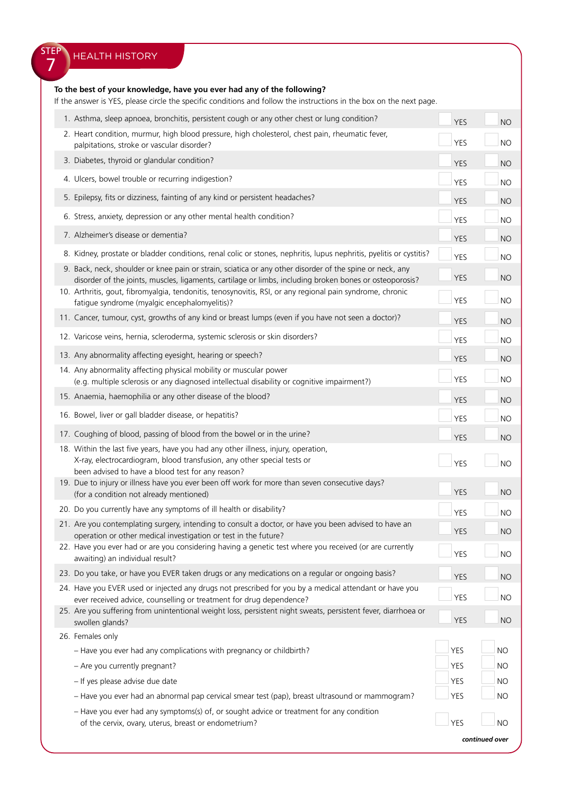| <b>STEP</b> | <b>HEALTH HISTORY</b>                                                                                                                                                                                                                                                                                                            |            |           |
|-------------|----------------------------------------------------------------------------------------------------------------------------------------------------------------------------------------------------------------------------------------------------------------------------------------------------------------------------------|------------|-----------|
|             | To the best of your knowledge, have you ever had any of the following?<br>If the answer is YES, please circle the specific conditions and follow the instructions in the box on the next page.                                                                                                                                   |            |           |
|             | 1. Asthma, sleep apnoea, bronchitis, persistent cough or any other chest or lung condition?                                                                                                                                                                                                                                      | <b>YES</b> | <b>NO</b> |
|             | 2. Heart condition, murmur, high blood pressure, high cholesterol, chest pain, rheumatic fever,<br>palpitations, stroke or vascular disorder?                                                                                                                                                                                    | <b>YES</b> | <b>NO</b> |
|             | 3. Diabetes, thyroid or glandular condition?                                                                                                                                                                                                                                                                                     | <b>YES</b> | <b>NO</b> |
|             | 4. Ulcers, bowel trouble or recurring indigestion?                                                                                                                                                                                                                                                                               | <b>YES</b> | <b>NO</b> |
|             | 5. Epilepsy, fits or dizziness, fainting of any kind or persistent headaches?                                                                                                                                                                                                                                                    | <b>YES</b> | <b>NO</b> |
|             | 6. Stress, anxiety, depression or any other mental health condition?                                                                                                                                                                                                                                                             | <b>YES</b> | <b>NO</b> |
|             | 7. Alzheimer's disease or dementia?                                                                                                                                                                                                                                                                                              |            |           |
|             |                                                                                                                                                                                                                                                                                                                                  | <b>YES</b> | <b>NO</b> |
|             | 8. Kidney, prostate or bladder conditions, renal colic or stones, nephritis, lupus nephritis, pyelitis or cystitis?                                                                                                                                                                                                              | <b>YES</b> | <b>NO</b> |
|             | 9. Back, neck, shoulder or knee pain or strain, sciatica or any other disorder of the spine or neck, any<br>disorder of the joints, muscles, ligaments, cartilage or limbs, including broken bones or osteoporosis?<br>10. Arthritis, gout, fibromyalgia, tendonitis, tenosynovitis, RSI, or any regional pain syndrome, chronic | <b>YES</b> | <b>NO</b> |
|             | fatigue syndrome (myalgic encephalomyelitis)?                                                                                                                                                                                                                                                                                    | <b>YES</b> | <b>NO</b> |
|             | 11. Cancer, tumour, cyst, growths of any kind or breast lumps (even if you have not seen a doctor)?                                                                                                                                                                                                                              | <b>YES</b> | <b>NO</b> |
|             | 12. Varicose veins, hernia, scleroderma, systemic sclerosis or skin disorders?                                                                                                                                                                                                                                                   | <b>YES</b> | <b>NO</b> |
|             | 13. Any abnormality affecting eyesight, hearing or speech?                                                                                                                                                                                                                                                                       | <b>YES</b> | <b>NO</b> |
|             | 14. Any abnormality affecting physical mobility or muscular power<br>(e.g. multiple sclerosis or any diagnosed intellectual disability or cognitive impairment?)                                                                                                                                                                 | <b>YES</b> | <b>NO</b> |
|             | 15. Anaemia, haemophilia or any other disease of the blood?                                                                                                                                                                                                                                                                      | <b>YES</b> | <b>NO</b> |
|             | 16. Bowel, liver or gall bladder disease, or hepatitis?                                                                                                                                                                                                                                                                          | YES        | <b>NO</b> |
|             | 17. Coughing of blood, passing of blood from the bowel or in the urine?                                                                                                                                                                                                                                                          | <b>YES</b> | <b>NO</b> |
|             | 18. Within the last five years, have you had any other illness, injury, operation,<br>X-ray, electrocardiogram, blood transfusion, any other special tests or<br>been advised to have a blood test for any reason?                                                                                                               | <b>YES</b> | <b>NO</b> |
|             | 19. Due to injury or illness have you ever been off work for more than seven consecutive days?<br>(for a condition not already mentioned)                                                                                                                                                                                        | <b>YES</b> | <b>NO</b> |
|             | 20. Do you currently have any symptoms of ill health or disability?                                                                                                                                                                                                                                                              | <b>YES</b> | <b>NO</b> |
|             | 21. Are you contemplating surgery, intending to consult a doctor, or have you been advised to have an<br>operation or other medical investigation or test in the future?                                                                                                                                                         | <b>YES</b> | <b>NO</b> |
|             | 22. Have you ever had or are you considering having a genetic test where you received (or are currently<br>awaiting) an individual result?                                                                                                                                                                                       | <b>YES</b> | <b>NO</b> |
|             | 23. Do you take, or have you EVER taken drugs or any medications on a regular or ongoing basis?                                                                                                                                                                                                                                  | <b>YES</b> | <b>NO</b> |
|             | 24. Have you EVER used or injected any drugs not prescribed for you by a medical attendant or have you<br>ever received advice, counselling or treatment for drug dependence?                                                                                                                                                    | <b>YES</b> | <b>NO</b> |
|             | 25. Are you suffering from unintentional weight loss, persistent night sweats, persistent fever, diarrhoea or<br>swollen glands?                                                                                                                                                                                                 | <b>YES</b> | <b>NO</b> |
|             | 26. Females only                                                                                                                                                                                                                                                                                                                 |            |           |
|             | - Have you ever had any complications with pregnancy or childbirth?                                                                                                                                                                                                                                                              | <b>YES</b> | <b>NO</b> |
|             | - Are you currently pregnant?                                                                                                                                                                                                                                                                                                    | <b>YES</b> | <b>NO</b> |
|             | - If yes please advise due date                                                                                                                                                                                                                                                                                                  | YES        | <b>NO</b> |
|             | - Have you ever had an abnormal pap cervical smear test (pap), breast ultrasound or mammogram?<br>- Have you ever had any symptoms(s) of, or sought advice or treatment for any condition                                                                                                                                        | <b>YES</b> | <b>NO</b> |
|             | of the cervix, ovary, uterus, breast or endometrium?                                                                                                                                                                                                                                                                             | <b>YES</b> | <b>NO</b> |

*continued over*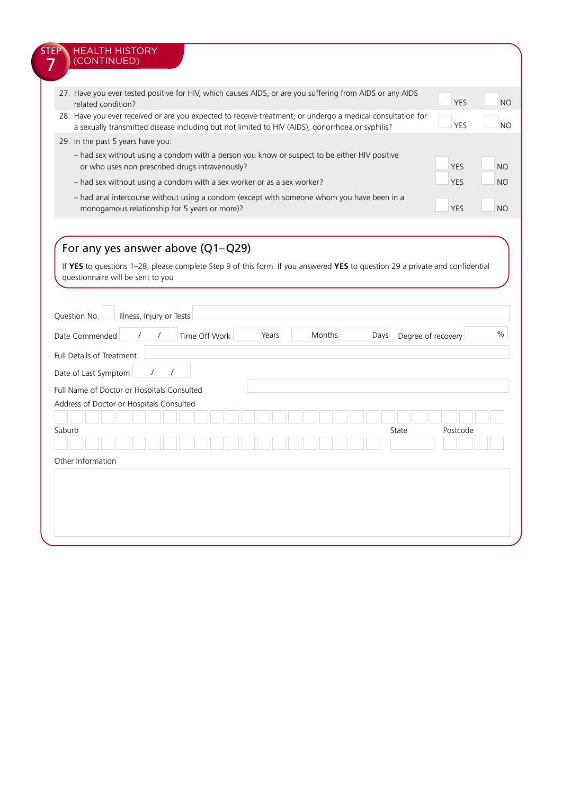| 27. Have you ever tested positive for HIV, which causes AIDS, or are you suffering from AIDS or any AIDS<br>related condition?                                                                                      |                          |               |               |       |  |        |      |       | <b>YES</b>         | <b>NO</b> |
|---------------------------------------------------------------------------------------------------------------------------------------------------------------------------------------------------------------------|--------------------------|---------------|---------------|-------|--|--------|------|-------|--------------------|-----------|
| 28. Have you ever received or are you expected to receive treatment, or undergo a medical consultation for                                                                                                          |                          |               |               |       |  |        |      |       |                    |           |
| a sexually transmitted disease including but not limited to HIV (AIDS), gonorrhoea or syphilis?                                                                                                                     |                          |               |               |       |  |        |      |       | <b>YES</b>         | <b>NO</b> |
| 29. In the past 5 years have you:                                                                                                                                                                                   |                          |               |               |       |  |        |      |       |                    |           |
| - had sex without using a condom with a person you know or suspect to be either HIV positive<br>or who uses non prescribed drugs intravenously?                                                                     |                          |               |               |       |  |        |      |       | <b>YES</b>         | <b>NO</b> |
| - had sex without using a condom with a sex worker or as a sex worker?                                                                                                                                              |                          |               |               |       |  |        |      |       | <b>YES</b>         | <b>NO</b> |
| - had anal intercourse without using a condom (except with someone whom you have been in a<br>monogamous relationship for 5 years or more)?                                                                         |                          |               |               |       |  |        |      |       | <b>YES</b>         | <b>NO</b> |
| For any yes answer above (Q1-Q29)<br>If YES to questions 1-28, please complete Step 9 of this form. If you answered YES to question 29 a private and confidential<br>questionnaire will be sent to you              |                          |               |               |       |  |        |      |       |                    |           |
|                                                                                                                                                                                                                     | Illness, Injury or Tests |               |               |       |  |        |      |       |                    |           |
|                                                                                                                                                                                                                     |                          |               | Time Off Work | Years |  | Months | Days |       | Degree of recovery |           |
|                                                                                                                                                                                                                     |                          |               |               |       |  |        |      |       |                    |           |
|                                                                                                                                                                                                                     |                          | 7<br>$\prime$ |               |       |  |        |      |       |                    |           |
|                                                                                                                                                                                                                     |                          |               |               |       |  |        |      |       |                    |           |
|                                                                                                                                                                                                                     |                          |               |               |       |  |        |      |       |                    |           |
|                                                                                                                                                                                                                     |                          |               |               |       |  |        |      |       |                    |           |
|                                                                                                                                                                                                                     |                          |               |               |       |  |        |      | State | Postcode           |           |
|                                                                                                                                                                                                                     |                          |               |               |       |  |        |      |       |                    |           |
| Question No.<br>Date Commended<br><b>Full Details of Treatment</b><br>Date of Last Symptom<br>Full Name of Doctor or Hospitals Consulted<br>Address of Doctor or Hospitals Consulted<br>Suburb<br>Other Information |                          |               |               |       |  |        |      |       |                    | $\%$      |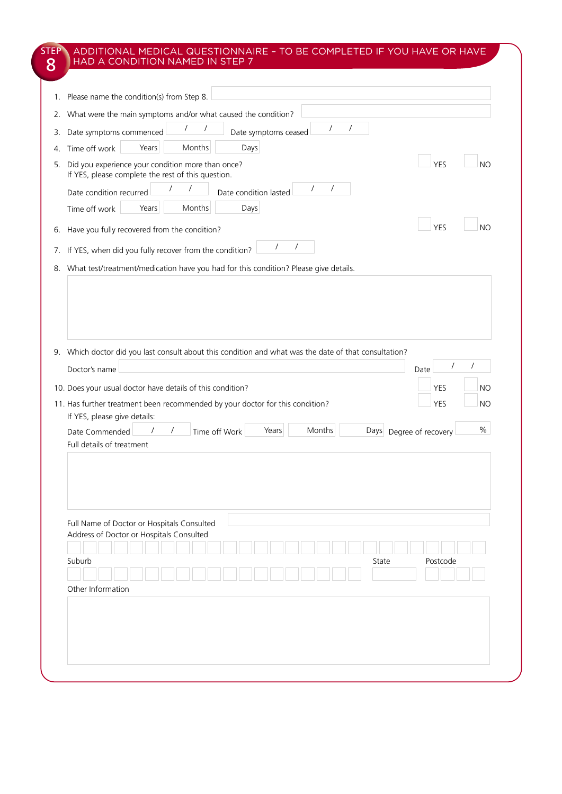| 1. Please name the condition(s) from Step 8.<br>What were the main symptoms and/or what caused the condition?<br>Date symptoms commenced<br>Years<br>Months<br>Days<br>Time off work<br>Did you experience your condition more than once?<br>If YES, please complete the rest of this question.<br>Date condition lasted<br>Date condition recurred<br>Months<br>Time off work<br>Years<br>Days | $\prime$<br>Date symptoms ceased                                                                                                                                                                                                                                                    | <b>NO</b><br>YES                                                                                                                                                                                                                                                                        |
|-------------------------------------------------------------------------------------------------------------------------------------------------------------------------------------------------------------------------------------------------------------------------------------------------------------------------------------------------------------------------------------------------|-------------------------------------------------------------------------------------------------------------------------------------------------------------------------------------------------------------------------------------------------------------------------------------|-----------------------------------------------------------------------------------------------------------------------------------------------------------------------------------------------------------------------------------------------------------------------------------------|
|                                                                                                                                                                                                                                                                                                                                                                                                 |                                                                                                                                                                                                                                                                                     |                                                                                                                                                                                                                                                                                         |
|                                                                                                                                                                                                                                                                                                                                                                                                 |                                                                                                                                                                                                                                                                                     |                                                                                                                                                                                                                                                                                         |
|                                                                                                                                                                                                                                                                                                                                                                                                 |                                                                                                                                                                                                                                                                                     |                                                                                                                                                                                                                                                                                         |
|                                                                                                                                                                                                                                                                                                                                                                                                 |                                                                                                                                                                                                                                                                                     |                                                                                                                                                                                                                                                                                         |
|                                                                                                                                                                                                                                                                                                                                                                                                 |                                                                                                                                                                                                                                                                                     |                                                                                                                                                                                                                                                                                         |
|                                                                                                                                                                                                                                                                                                                                                                                                 |                                                                                                                                                                                                                                                                                     |                                                                                                                                                                                                                                                                                         |
| Have you fully recovered from the condition?                                                                                                                                                                                                                                                                                                                                                    |                                                                                                                                                                                                                                                                                     | <b>YES</b><br><b>NO</b>                                                                                                                                                                                                                                                                 |
| If YES, when did you fully recover from the condition?                                                                                                                                                                                                                                                                                                                                          |                                                                                                                                                                                                                                                                                     |                                                                                                                                                                                                                                                                                         |
|                                                                                                                                                                                                                                                                                                                                                                                                 |                                                                                                                                                                                                                                                                                     |                                                                                                                                                                                                                                                                                         |
| Time off Work<br>$\prime$                                                                                                                                                                                                                                                                                                                                                                       | Months                                                                                                                                                                                                                                                                              | Date<br><b>NO</b><br>YES<br><b>YES</b><br><b>NO</b><br>$\%$<br>Days Degree of recovery                                                                                                                                                                                                  |
|                                                                                                                                                                                                                                                                                                                                                                                                 |                                                                                                                                                                                                                                                                                     |                                                                                                                                                                                                                                                                                         |
|                                                                                                                                                                                                                                                                                                                                                                                                 | State                                                                                                                                                                                                                                                                               | Postcode                                                                                                                                                                                                                                                                                |
|                                                                                                                                                                                                                                                                                                                                                                                                 |                                                                                                                                                                                                                                                                                     |                                                                                                                                                                                                                                                                                         |
|                                                                                                                                                                                                                                                                                                                                                                                                 |                                                                                                                                                                                                                                                                                     |                                                                                                                                                                                                                                                                                         |
|                                                                                                                                                                                                                                                                                                                                                                                                 |                                                                                                                                                                                                                                                                                     |                                                                                                                                                                                                                                                                                         |
|                                                                                                                                                                                                                                                                                                                                                                                                 | Doctor's name<br>10. Does your usual doctor have details of this condition?<br>If YES, please give details:<br>Date Commended<br>Full details of treatment<br>Full Name of Doctor or Hospitals Consulted<br>Address of Doctor or Hospitals Consulted<br>Suburb<br>Other Information | What test/treatment/medication have you had for this condition? Please give details.<br>9. Which doctor did you last consult about this condition and what was the date of that consultation?<br>11. Has further treatment been recommended by your doctor for this condition?<br>Years |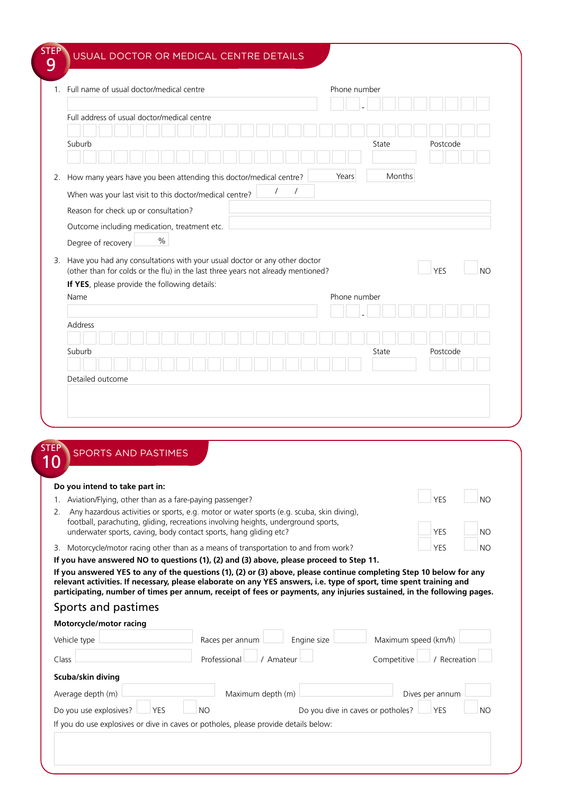|                                               | 1. Full name of usual doctor/medical centre                                                                                       |  |          |          | Phone number |       |        |            |           |
|-----------------------------------------------|-----------------------------------------------------------------------------------------------------------------------------------|--|----------|----------|--------------|-------|--------|------------|-----------|
|                                               | Full address of usual doctor/medical centre                                                                                       |  |          |          |              |       |        |            |           |
|                                               |                                                                                                                                   |  |          |          |              |       |        |            |           |
| Suburb                                        |                                                                                                                                   |  |          |          |              | State |        | Postcode   |           |
|                                               | 2. How many years have you been attending this doctor/medical centre?                                                             |  |          |          | Years        |       | Months |            |           |
|                                               | When was your last visit to this doctor/medical centre?                                                                           |  | $\prime$ | $\prime$ |              |       |        |            |           |
|                                               | Reason for check up or consultation?                                                                                              |  |          |          |              |       |        |            |           |
|                                               | Outcome including medication, treatment etc.                                                                                      |  |          |          |              |       |        |            |           |
|                                               |                                                                                                                                   |  |          |          |              |       |        |            |           |
|                                               | $\%$                                                                                                                              |  |          |          |              |       |        |            |           |
| Degree of recovery                            |                                                                                                                                   |  |          |          |              |       |        |            |           |
|                                               | 3. Have you had any consultations with your usual doctor or any other doctor                                                      |  |          |          |              |       |        |            |           |
|                                               | (other than for colds or the flu) in the last three years not already mentioned?<br>If YES, please provide the following details: |  |          |          |              |       |        | <b>YES</b> | <b>NO</b> |
|                                               |                                                                                                                                   |  |          |          | Phone number |       |        |            |           |
|                                               |                                                                                                                                   |  |          |          |              |       |        |            |           |
|                                               |                                                                                                                                   |  |          |          |              |       |        |            |           |
|                                               |                                                                                                                                   |  |          |          |              |       |        |            |           |
|                                               |                                                                                                                                   |  |          |          |              | State |        | Postcode   |           |
|                                               |                                                                                                                                   |  |          |          |              |       |        |            |           |
|                                               |                                                                                                                                   |  |          |          |              |       |        |            |           |
|                                               |                                                                                                                                   |  |          |          |              |       |        |            |           |
| Name<br>Address<br>Suburb<br>Detailed outcome |                                                                                                                                   |  |          |          |              |       |        |            |           |

| Do you intend to take part in: |  |
|--------------------------------|--|
|                                |  |

| 1. Aviation/Flying, other than as a fare-paying passenger?                                   | <b>I</b> YFS | - NC |
|----------------------------------------------------------------------------------------------|--------------|------|
| 2. Any hazardous activities or sports, e.g. motor or water sports (e.g. scuba, skin diving), |              |      |
| football, parachuting, gliding, recreations involving heights, underground sports,           |              |      |
| underwater sports, caving, body contact sports, hang gliding etc?                            | <b>YFS</b>   | NC   |

| <b>YES</b> | <b>NO</b> |
|------------|-----------|
| YES        | <b>NO</b> |
|            |           |

**Contract** 

 $\Box$ 

3. Motorcycle/motor racing other than as a means of transportation to and from work? YES NO

**If you have answered NO to questions (1), (2) and (3) above, please proceed to Step 11.**

**If you answered YES to any of the questions (1), (2) or (3) above, please continue completing Step 10 below for any relevant activities. If necessary, please elaborate on any YES answers, i.e. type of sport, time spent training and participating, number of times per annum, receipt of fees or payments, any injuries sustained, in the following pages.**

|  | Sports and pastimes |
|--|---------------------|
|  |                     |

| Vehicle type                                                                         | Races per annum         | Engine size                       | Maximum speed (km/h)      |
|--------------------------------------------------------------------------------------|-------------------------|-----------------------------------|---------------------------|
| Class                                                                                | Professional<br>Amateur |                                   | Competitive<br>Recreation |
| Scuba/skin diving                                                                    |                         |                                   |                           |
| Average depth (m)                                                                    | Maximum depth (m)       |                                   | Dives per annum           |
| Do you use explosives?<br><b>YES</b>                                                 | <b>NO</b>               | Do you dive in caves or potholes? | <b>YES</b><br><b>NO</b>   |
| If you do use explosives or dive in caves or potholes, please provide details below: |                         |                                   |                           |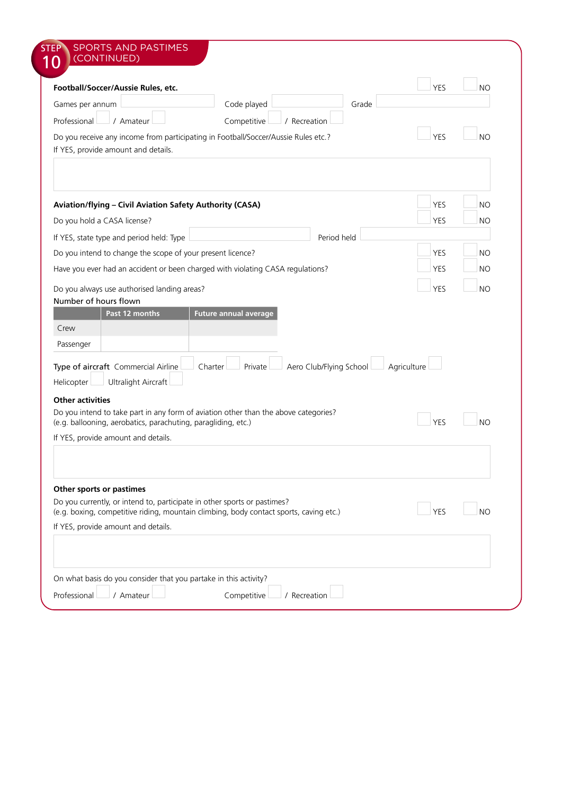|                                                                                                                                  | <b>YES</b>  | <b>NO</b>      |
|----------------------------------------------------------------------------------------------------------------------------------|-------------|----------------|
| Code played<br>Grade<br>Games per annum                                                                                          |             |                |
| Competitive<br>Professional<br>/ Amateur<br>/ Recreation                                                                         |             |                |
| Do you receive any income from participating in Football/Soccer/Aussie Rules etc.?<br>If YES, provide amount and details.        | <b>YES</b>  | <b>NO</b>      |
|                                                                                                                                  |             |                |
| Aviation/flying - Civil Aviation Safety Authority (CASA)                                                                         | <b>YES</b>  | <b>NO</b>      |
| Do you hold a CASA license?                                                                                                      | <b>YES</b>  | <b>NO</b>      |
| Period held<br>If YES, state type and period held: Type                                                                          |             |                |
| Do you intend to change the scope of your present licence?                                                                       | <b>YES</b>  | <b>NO</b>      |
| Have you ever had an accident or been charged with violating CASA regulations?                                                   | <b>YES</b>  | <b>NO</b>      |
|                                                                                                                                  |             |                |
| Do you always use authorised landing areas?<br>Number of hours flown                                                             | <b>YES</b>  | <b>NO</b>      |
| Crew                                                                                                                             |             |                |
| Passenger                                                                                                                        |             |                |
| Aero Club/Flying School<br>Type of aircraft Commercial Airline<br>Charter<br>Private<br><b>Ultralight Aircraft</b><br>Helicopter | Agriculture |                |
| <b>Other activities</b>                                                                                                          |             |                |
| Do you intend to take part in any form of aviation other than the above categories?                                              | <b>YES</b>  | N()            |
| (e.g. ballooning, aerobatics, parachuting, paragliding, etc.)<br>If YES, provide amount and details.                             |             |                |
|                                                                                                                                  |             |                |
| Other sports or pastimes                                                                                                         |             |                |
| Do you currently, or intend to, participate in other sports or pastimes?                                                         |             |                |
| (e.g. boxing, competitive riding, mountain climbing, body contact sports, caving etc.)                                           | <b>YES</b>  | N <sub>O</sub> |
| If YES, provide amount and details.                                                                                              |             |                |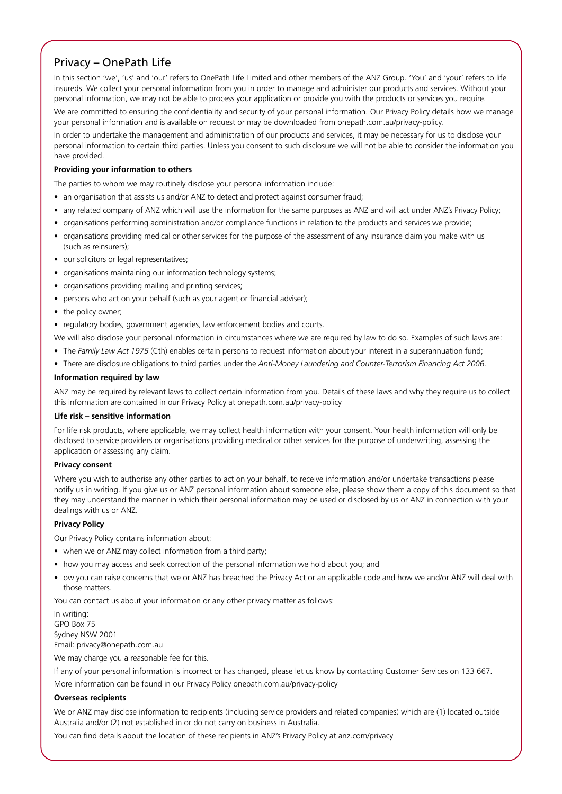## Privacy – OnePath Life

In this section 'we', 'us' and 'our' refers to OnePath Life Limited and other members of the ANZ Group. 'You' and 'your' refers to life insureds. We collect your personal information from you in order to manage and administer our products and services. Without your personal information, we may not be able to process your application or provide you with the products or services you require.

We are committed to ensuring the confidentiality and security of your personal information. Our Privacy Policy details how we manage your personal information and is available on request or may be downloaded from onepath.com.au/privacy-policy.

In order to undertake the management and administration of our products and services, it may be necessary for us to disclose your personal information to certain third parties. Unless you consent to such disclosure we will not be able to consider the information you have provided.

## **Providing your information to others**

The parties to whom we may routinely disclose your personal information include:

- an organisation that assists us and/or ANZ to detect and protect against consumer fraud;
- any related company of ANZ which will use the information for the same purposes as ANZ and will act under ANZ's Privacy Policy;
- organisations performing administration and/or compliance functions in relation to the products and services we provide;
- organisations providing medical or other services for the purpose of the assessment of any insurance claim you make with us (such as reinsurers);
- our solicitors or legal representatives;
- organisations maintaining our information technology systems;
- organisations providing mailing and printing services;
- persons who act on your behalf (such as your agent or financial adviser);
- the policy owner;
- regulatory bodies, government agencies, law enforcement bodies and courts.

We will also disclose your personal information in circumstances where we are required by law to do so. Examples of such laws are:

- The *Family Law Act 1975* (Cth) enables certain persons to request information about your interest in a superannuation fund;
- There are disclosure obligations to third parties under the *Anti-Money Laundering and Counter-Terrorism Financing Act 2006*.

## **Information required by law**

ANZ may be required by relevant laws to collect certain information from you. Details of these laws and why they require us to collect this information are contained in our Privacy Policy at onepath.com.au/privacy-policy

### **Life risk – sensitive information**

For life risk products, where applicable, we may collect health information with your consent. Your health information will only be disclosed to service providers or organisations providing medical or other services for the purpose of underwriting, assessing the application or assessing any claim.

### **Privacy consent**

Where you wish to authorise any other parties to act on your behalf, to receive information and/or undertake transactions please notify us in writing. If you give us or ANZ personal information about someone else, please show them a copy of this document so that they may understand the manner in which their personal information may be used or disclosed by us or ANZ in connection with your dealings with us or ANZ.

## **Privacy Policy**

Our Privacy Policy contains information about:

- when we or ANZ may collect information from a third party;
- how you may access and seek correction of the personal information we hold about you; and
- ow you can raise concerns that we or ANZ has breached the Privacy Act or an applicable code and how we and/or ANZ will deal with those matters.

You can contact us about your information or any other privacy matter as follows:

In writing: GPO Box 75 Sydney NSW 2001 Email: privacy@onepath.com.au

We may charge you a reasonable fee for this.

If any of your personal information is incorrect or has changed, please let us know by contacting Customer Services on 133 667.

More information can be found in our Privacy Policy onepath.com.au/privacy-policy

## **Overseas recipients**

We or ANZ may disclose information to recipients (including service providers and related companies) which are (1) located outside Australia and/or (2) not established in or do not carry on business in Australia.

You can find details about the location of these recipients in ANZ's Privacy Policy at anz.com/privacy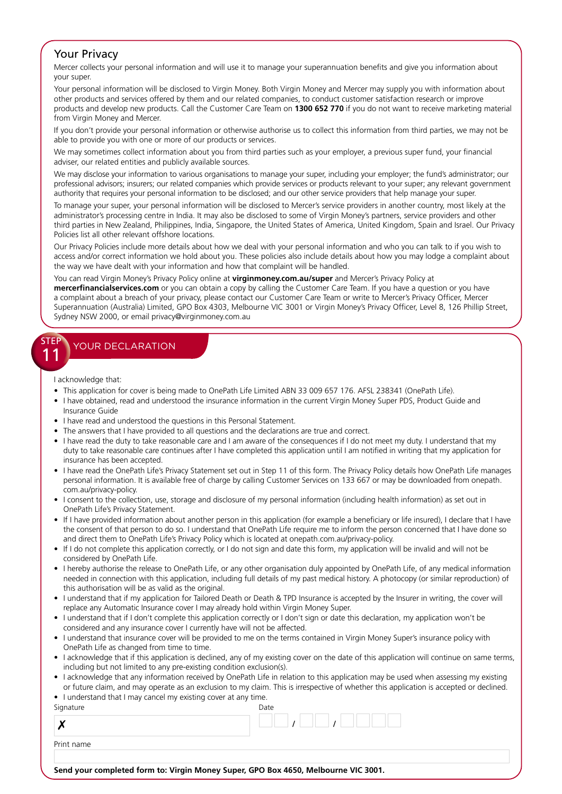## Your Privacy

Mercer collects your personal information and will use it to manage your superannuation benefits and give you information about your super.

Your personal information will be disclosed to Virgin Money. Both Virgin Money and Mercer may supply you with information about other products and services offered by them and our related companies, to conduct customer satisfaction research or improve products and develop new products. Call the Customer Care Team on **1300 652 770** if you do not want to receive marketing material from Virgin Money and Mercer.

If you don't provide your personal information or otherwise authorise us to collect this information from third parties, we may not be able to provide you with one or more of our products or services.

We may sometimes collect information about you from third parties such as your employer, a previous super fund, your financial adviser, our related entities and publicly available sources.

We may disclose your information to various organisations to manage your super, including your employer; the fund's administrator; our professional advisors; insurers; our related companies which provide services or products relevant to your super; any relevant government authority that requires your personal information to be disclosed; and our other service providers that help manage your super.

To manage your super, your personal information will be disclosed to Mercer's service providers in another country, most likely at the administrator's processing centre in India. It may also be disclosed to some of Virgin Money's partners, service providers and other third parties in New Zealand, Philippines, India, Singapore, the United States of America, United Kingdom, Spain and Israel. Our Privacy Policies list all other relevant offshore locations.

Our Privacy Policies include more details about how we deal with your personal information and who you can talk to if you wish to access and/or correct information we hold about you. These policies also include details about how you may lodge a complaint about the way we have dealt with your information and how that complaint will be handled.

You can read Virgin Money's Privacy Policy online at **virginmoney.com.au/super** and Mercer's Privacy Policy at **mercerfinancialservices.com** or you can obtain a copy by calling the Customer Care Team. If you have a question or you have a complaint about a breach of your privacy, please contact our Customer Care Team or write to Mercer's Privacy Officer, Mercer Superannuation (Australia) Limited, GPO Box 4303, Melbourne VIC 3001 or Virgin Money's Privacy Officer, Level 8, 126 Phillip Street, Sydney NSW 2000, or email privacy@virginmoney.com.au

## STEP **11** YOUR DECLARATION

I acknowledge that:

- This application for cover is being made to OnePath Life Limited ABN 33 009 657 176. AFSL 238341 (OnePath Life).
- I have obtained, read and understood the insurance information in the current Virgin Money Super PDS, Product Guide and Insurance Guide
- I have read and understood the questions in this Personal Statement.
- The answers that I have provided to all questions and the declarations are true and correct.
- I have read the duty to take reasonable care and I am aware of the consequences if I do not meet my duty. I understand that my duty to take reasonable care continues after I have completed this application until I am notified in writing that my application for insurance has been accepted.
- I have read the OnePath Life's Privacy Statement set out in Step 11 of this form. The Privacy Policy details how OnePath Life manages personal information. It is available free of charge by calling Customer Services on 133 667 or may be downloaded from onepath. com.au/privacy-policy.
- I consent to the collection, use, storage and disclosure of my personal information (including health information) as set out in OnePath Life's Privacy Statement.
- If I have provided information about another person in this application (for example a beneficiary or life insured), I declare that I have the consent of that person to do so. I understand that OnePath Life require me to inform the person concerned that I have done so and direct them to OnePath Life's Privacy Policy which is located at onepath.com.au/privacy-policy.
- If I do not complete this application correctly, or I do not sign and date this form, my application will be invalid and will not be considered by OnePath Life.
- I hereby authorise the release to OnePath Life, or any other organisation duly appointed by OnePath Life, of any medical information needed in connection with this application, including full details of my past medical history. A photocopy (or similar reproduction) of this authorisation will be as valid as the original.
- I understand that if my application for Tailored Death or Death & TPD Insurance is accepted by the Insurer in writing, the cover will replace any Automatic Insurance cover I may already hold within Virgin Money Super.
- I understand that if I don't complete this application correctly or I don't sign or date this declaration, my application won't be considered and any insurance cover I currently have will not be affected.
- I understand that insurance cover will be provided to me on the terms contained in Virgin Money Super's insurance policy with OnePath Life as changed from time to time.
- I acknowledge that if this application is declined, any of my existing cover on the date of this application will continue on same terms, including but not limited to any pre-existing condition exclusion(s).
- I acknowledge that any information received by OnePath Life in relation to this application may be used when assessing my existing or future claim, and may operate as an exclusion to my claim. This is irrespective of whether this application is accepted or declined. • I understand that I may cancel my existing cover at any time.
- 

| Signature  | Date |  |
|------------|------|--|
|            |      |  |
| Print name |      |  |
|            |      |  |

**Send your completed form to: Virgin Money Super, GPO Box 4650, Melbourne VIC 3001.**